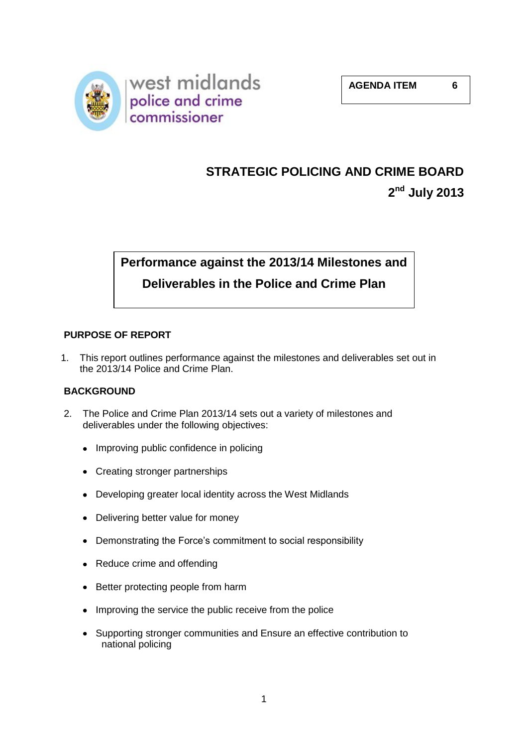

# **STRATEGIC POLICING AND CRIME BOARD**

**2 nd July 2013**

# **Performance against the 2013/14 Milestones and Deliverables in the Police and Crime Plan**

# **PURPOSE OF REPORT**

1. This report outlines performance against the milestones and deliverables set out in the 2013/14 Police and Crime Plan.

# **BACKGROUND**

- 2. The Police and Crime Plan 2013/14 sets out a variety of milestones and deliverables under the following objectives:
	- Improving public confidence in policing
	- Creating stronger partnerships
	- Developing greater local identity across the West Midlands
	- Delivering better value for money
	- Demonstrating the Force's commitment to social responsibility
	- Reduce crime and offending
	- Better protecting people from harm
	- Improving the service the public receive from the police
	- Supporting stronger communities and Ensure an effective contribution to national policing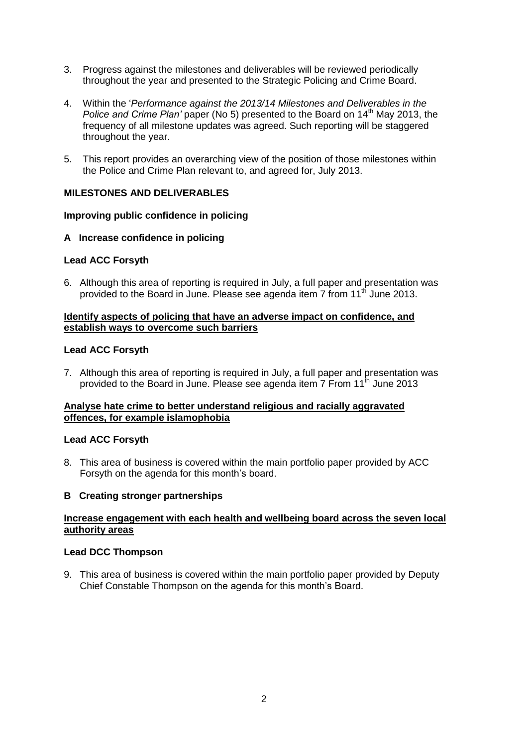- 3. Progress against the milestones and deliverables will be reviewed periodically throughout the year and presented to the Strategic Policing and Crime Board.
- 4. Within the '*Performance against the 2013/14 Milestones and Deliverables in the Police and Crime Plan'* paper (No 5) presented to the Board on 14<sup>th</sup> May 2013, the frequency of all milestone updates was agreed. Such reporting will be staggered throughout the year.
- 5. This report provides an overarching view of the position of those milestones within the Police and Crime Plan relevant to, and agreed for, July 2013.

# **MILESTONES AND DELIVERABLES**

## **Improving public confidence in policing**

## **A Increase confidence in policing**

# **Lead ACC Forsyth**

6. Although this area of reporting is required in July, a full paper and presentation was provided to the Board in June. Please see agenda item 7 from 11<sup>th</sup> June 2013.

## **Identify aspects of policing that have an adverse impact on confidence, and establish ways to overcome such barriers**

## **Lead ACC Forsyth**

7. Although this area of reporting is required in July, a full paper and presentation was provided to the Board in June. Please see agenda item 7 From 11<sup>th</sup> June 2013

## **Analyse hate crime to better understand religious and racially aggravated offences, for example islamophobia**

## **Lead ACC Forsyth**

8. This area of business is covered within the main portfolio paper provided by ACC Forsyth on the agenda for this month's board.

## **B Creating stronger partnerships**

## **Increase engagement with each health and wellbeing board across the seven local authority areas**

## **Lead DCC Thompson**

9. This area of business is covered within the main portfolio paper provided by Deputy Chief Constable Thompson on the agenda for this month's Board.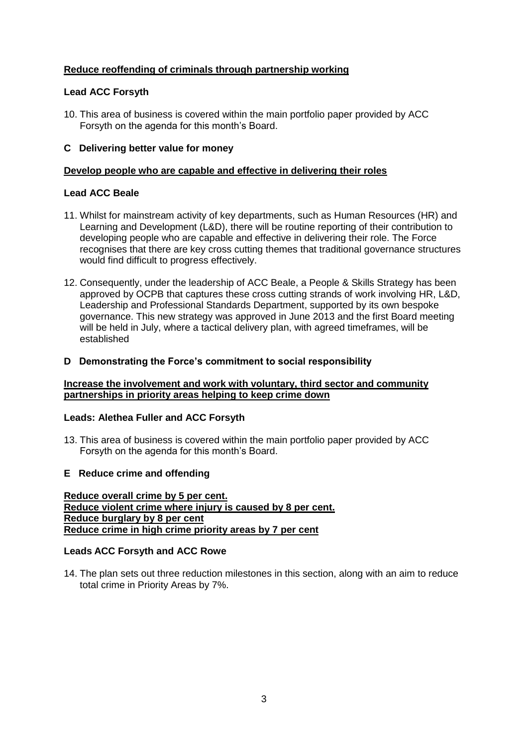# **Reduce reoffending of criminals through partnership working**

# **Lead ACC Forsyth**

10. This area of business is covered within the main portfolio paper provided by ACC Forsyth on the agenda for this month's Board.

#### **C Delivering better value for money**

#### **Develop people who are capable and effective in delivering their roles**

#### **Lead ACC Beale**

- 11. Whilst for mainstream activity of key departments, such as Human Resources (HR) and Learning and Development (L&D), there will be routine reporting of their contribution to developing people who are capable and effective in delivering their role. The Force recognises that there are key cross cutting themes that traditional governance structures would find difficult to progress effectively.
- 12. Consequently, under the leadership of ACC Beale, a People & Skills Strategy has been approved by OCPB that captures these cross cutting strands of work involving HR, L&D, Leadership and Professional Standards Department, supported by its own bespoke governance. This new strategy was approved in June 2013 and the first Board meeting will be held in July, where a tactical delivery plan, with agreed timeframes, will be established

#### **D Demonstrating the Force's commitment to social responsibility**

#### **Increase the involvement and work with voluntary, third sector and community partnerships in priority areas helping to keep crime down**

## **Leads: Alethea Fuller and ACC Forsyth**

13. This area of business is covered within the main portfolio paper provided by ACC Forsyth on the agenda for this month's Board.

#### **E Reduce crime and offending**

**Reduce overall crime by 5 per cent. Reduce violent crime where injury is caused by 8 per cent. Reduce burglary by 8 per cent Reduce crime in high crime priority areas by 7 per cent**

#### **Leads ACC Forsyth and ACC Rowe**

14. The plan sets out three reduction milestones in this section, along with an aim to reduce total crime in Priority Areas by 7%.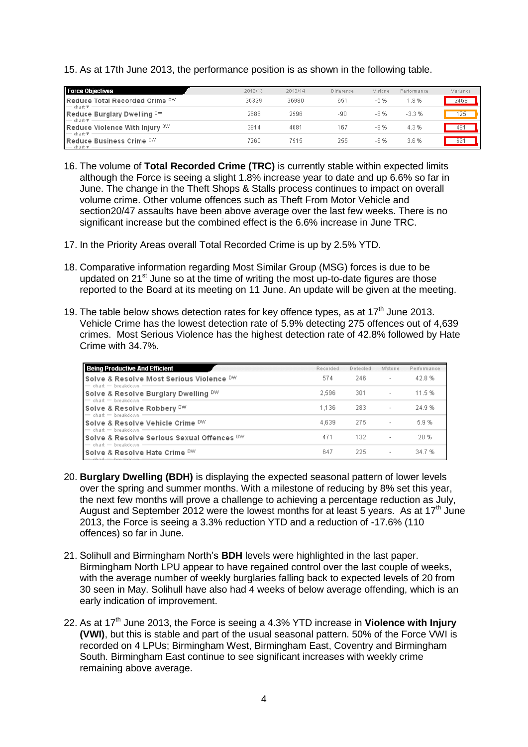15. As at 17th June 2013, the performance position is as shown in the following table.

| <b>Force Objectives</b>                                               | 2012/13 | 2013/14 | Difference | M'stone | Performance | Variance |
|-----------------------------------------------------------------------|---------|---------|------------|---------|-------------|----------|
| Reduce Total Recorded Crime DW<br>$-$ chart $\overline{\mathbf{r}}$ - | 36329   | 36980   | 651        | -5 %    | 1.8%        | 2468     |
| Reduce Burglary Dwelling DW<br>$-$ chart $\overline{\tau}$            | 2686    | 2596    | $-90$      | -8 %    | $-3.3%$     | 125      |
| Reduce Violence With Injury DW<br>$-$ chart $\overline{\tau}$ :       | 3914    | 4081    | 167        | -8 %    | 4.3%        | 481      |
| Reduce Business Crime DW<br>$-$ chart $\overline{x}$ $-$              | 7260.   | 7515.   | 255        | -6 %    | 3.6%        | 691      |

- 16. The volume of **Total Recorded Crime (TRC)** is currently stable within expected limits although the Force is seeing a slight 1.8% increase year to date and up 6.6% so far in June. The change in the Theft Shops & Stalls process continues to impact on overall volume crime. Other volume offences such as Theft From Motor Vehicle and section20/47 assaults have been above average over the last few weeks. There is no significant increase but the combined effect is the 6.6% increase in June TRC.
- 17. In the Priority Areas overall Total Recorded Crime is up by 2.5% YTD.
- 18. Comparative information regarding Most Similar Group (MSG) forces is due to be updated on  $21^{st}$  June so at the time of writing the most up-to-date figures are those reported to the Board at its meeting on 11 June. An update will be given at the meeting.
- 19. The table below shows detection rates for key offence types, as at  $17<sup>th</sup>$  June 2013. Vehicle Crime has the lowest detection rate of 5.9% detecting 275 offences out of 4,639 crimes. Most Serious Violence has the highest detection rate of 42.8% followed by Hate Crime with 34.7%.

| <b>Being Productive And Efficient</b>                                 | Recorded | Detected | M'stone                  | Performance |
|-----------------------------------------------------------------------|----------|----------|--------------------------|-------------|
| Solve & Resolve Most Serious Violence DW<br>$=$ chart $=$ breakdown   | 574      | 246.     | $\overline{\phantom{a}}$ | 42.8%       |
| Solve & Resolve Burglary Dwelling DW<br>$=$ chart $=$ breakdown       | 2.596    | 301      | $\overline{\phantom{a}}$ | 11.5 %      |
| Solve & Resolve Robbery DW<br>$=$ chart $=$ breakdown                 | 1.136    | 283      | $\sim$                   | 24.9%       |
| Solve & Resolve Vehicle Crime DW<br>$=$ chart $=$ breakdown           | 4.639    | -275     | $\overline{\phantom{a}}$ | 5.9%        |
| Solve & Resolve Serious Sexual Offences DW<br>$=$ chart $=$ breakdown | 471      | 132      |                          | 28 %        |
| Solve & Resolve Hate Crime DW                                         | 647      | 225      |                          | 34.7 %      |

- 20. **Burglary Dwelling (BDH)** is displaying the expected seasonal pattern of lower levels over the spring and summer months. With a milestone of reducing by 8% set this year, the next few months will prove a challenge to achieving a percentage reduction as July, August and September 2012 were the lowest months for at least 5 years. As at 17<sup>th</sup> June 2013, the Force is seeing a 3.3% reduction YTD and a reduction of -17.6% (110 offences) so far in June.
- 21. Solihull and Birmingham North's **BDH** levels were highlighted in the last paper. Birmingham North LPU appear to have regained control over the last couple of weeks, with the average number of weekly burglaries falling back to expected levels of 20 from 30 seen in May. Solihull have also had 4 weeks of below average offending, which is an early indication of improvement.
- 22. As at 17<sup>th</sup> June 2013, the Force is seeing a 4.3% YTD increase in **Violence with Injury (VWI)**, but this is stable and part of the usual seasonal pattern. 50% of the Force VWI is recorded on 4 LPUs; Birmingham West, Birmingham East, Coventry and Birmingham South. Birmingham East continue to see significant increases with weekly crime remaining above average.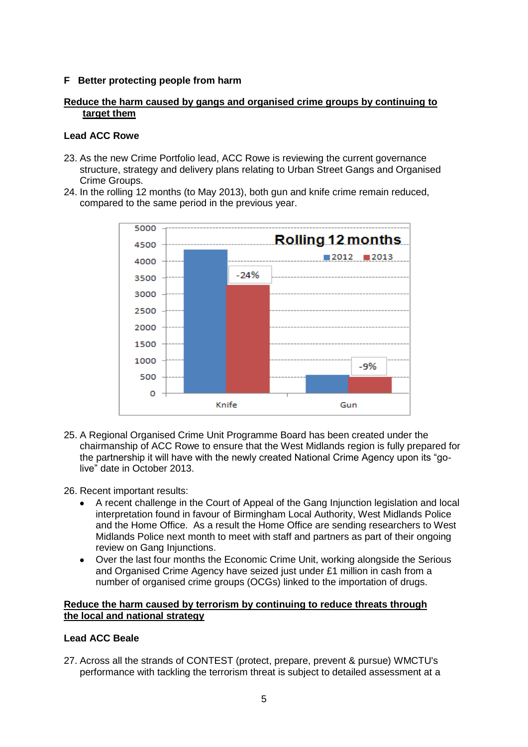## **F Better protecting people from harm**

#### **Reduce the harm caused by gangs and organised crime groups by continuing to target them**

#### **Lead ACC Rowe**

- 23. As the new Crime Portfolio lead, ACC Rowe is reviewing the current governance structure, strategy and delivery plans relating to Urban Street Gangs and Organised Crime Groups.
- 24. In the rolling 12 months (to May 2013), both gun and knife crime remain reduced, compared to the same period in the previous year.



- 25. A Regional Organised Crime Unit Programme Board has been created under the chairmanship of ACC Rowe to ensure that the West Midlands region is fully prepared for the partnership it will have with the newly created National Crime Agency upon its "golive" date in October 2013.
- 26. Recent important results:
	- A recent challenge in the Court of Appeal of the Gang Injunction legislation and local  $\bullet$ interpretation found in favour of Birmingham Local Authority, West Midlands Police and the Home Office. As a result the Home Office are sending researchers to West Midlands Police next month to meet with staff and partners as part of their ongoing review on Gang Injunctions.
	- Over the last four months the Economic Crime Unit, working alongside the Serious  $\bullet$ and Organised Crime Agency have seized just under £1 million in cash from a number of organised crime groups (OCGs) linked to the importation of drugs.

#### **Reduce the harm caused by terrorism by continuing to reduce threats through the local and national strategy**

## **Lead ACC Beale**

27. Across all the strands of CONTEST (protect, prepare, prevent & pursue) WMCTU's performance with tackling the terrorism threat is subject to detailed assessment at a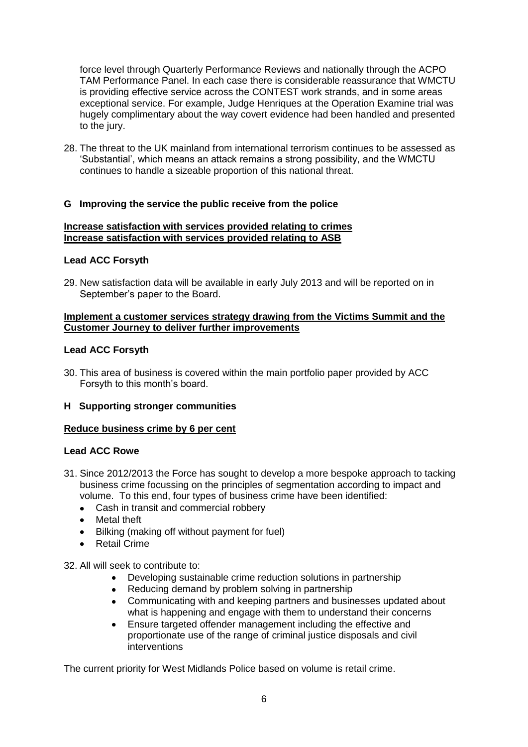force level through Quarterly Performance Reviews and nationally through the ACPO TAM Performance Panel. In each case there is considerable reassurance that WMCTU is providing effective service across the CONTEST work strands, and in some areas exceptional service. For example, Judge Henriques at the Operation Examine trial was hugely complimentary about the way covert evidence had been handled and presented to the jury.

28. The threat to the UK mainland from international terrorism continues to be assessed as 'Substantial', which means an attack remains a strong possibility, and the WMCTU continues to handle a sizeable proportion of this national threat.

# **G Improving the service the public receive from the police**

## **Increase satisfaction with services provided relating to crimes Increase satisfaction with services provided relating to ASB**

# **Lead ACC Forsyth**

29. New satisfaction data will be available in early July 2013 and will be reported on in September's paper to the Board.

#### **Implement a customer services strategy drawing from the Victims Summit and the Customer Journey to deliver further improvements**

# **Lead ACC Forsyth**

30. This area of business is covered within the main portfolio paper provided by ACC Forsyth to this month's board.

## **H Supporting stronger communities**

## **Reduce business crime by 6 per cent**

## **Lead ACC Rowe**

- 31. Since 2012/2013 the Force has sought to develop a more bespoke approach to tacking business crime focussing on the principles of segmentation according to impact and volume. To this end, four types of business crime have been identified:
	- Cash in transit and commercial robbery
	- Metal theft
	- Bilking (making off without payment for fuel)  $\bullet$
	- Retail Crime  $\blacksquare$

32. All will seek to contribute to:

- Developing sustainable crime reduction solutions in partnership
- Reducing demand by problem solving in partnership
- Communicating with and keeping partners and businesses updated about  $\bullet$ what is happening and engage with them to understand their concerns
- Ensure targeted offender management including the effective and proportionate use of the range of criminal justice disposals and civil interventions

The current priority for West Midlands Police based on volume is retail crime.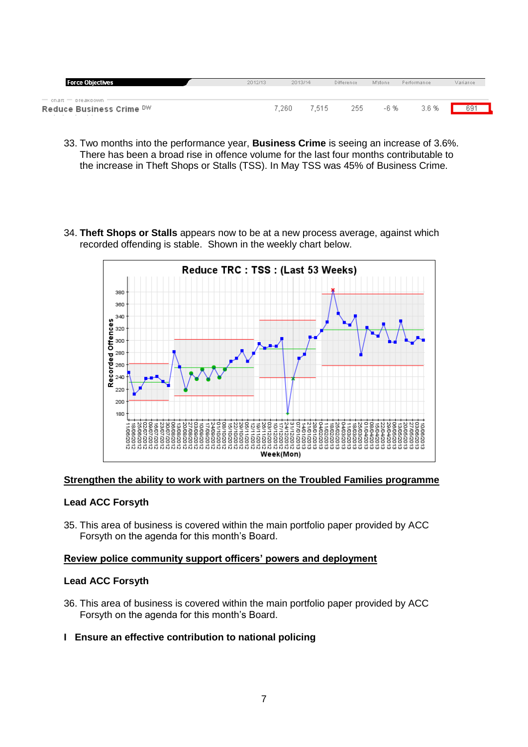| <b>Force Objectives</b>                                      | 2012/13 | 2013/14 |        | <b>Difference</b> | M'stone | Performance | Variance |
|--------------------------------------------------------------|---------|---------|--------|-------------------|---------|-------------|----------|
| $=$ cnart $=$ preakdown $=$<br>Reduce Business Crime DW<br>. |         | 7.260   | 7.515. | 255               | -6 %    | 3.6 %       | 691      |

- 33. Two months into the performance year, **Business Crime** is seeing an increase of 3.6%. There has been a broad rise in offence volume for the last four months contributable to the increase in Theft Shops or Stalls (TSS). In May TSS was 45% of Business Crime.
- 34. **Theft Shops or Stalls** appears now to be at a new process average, against which recorded offending is stable. Shown in the weekly chart below.



#### **Strengthen the ability to work with partners on the Troubled Families programme**

#### **Lead ACC Forsyth**

35. This area of business is covered within the main portfolio paper provided by ACC Forsyth on the agenda for this month's Board.

# **Review police community support officers' powers and deployment**

#### **Lead ACC Forsyth**

- 36. This area of business is covered within the main portfolio paper provided by ACC Forsyth on the agenda for this month's Board.
- **I Ensure an effective contribution to national policing**